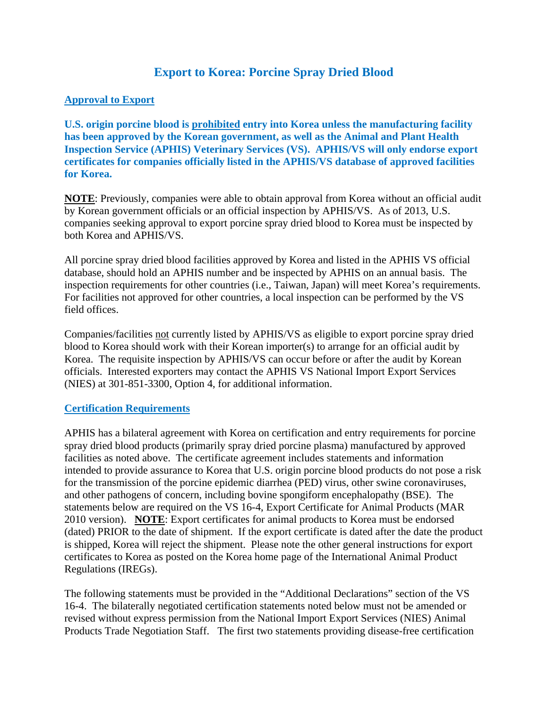# **Export to Korea: Porcine Spray Dried Blood**

### **Approval to Export**

**U.S. origin porcine blood is prohibited entry into Korea unless the manufacturing facility has been approved by the Korean government, as well as the Animal and Plant Health Inspection Service (APHIS) Veterinary Services (VS). APHIS/VS will only endorse export certificates for companies officially listed in the APHIS/VS database of approved facilities for Korea.** 

**NOTE**: Previously, companies were able to obtain approval from Korea without an official audit by Korean government officials or an official inspection by APHIS/VS. As of 2013, U.S. companies seeking approval to export porcine spray dried blood to Korea must be inspected by both Korea and APHIS/VS.

All porcine spray dried blood facilities approved by Korea and listed in the APHIS VS official database, should hold an APHIS number and be inspected by APHIS on an annual basis. The inspection requirements for other countries (i.e., Taiwan, Japan) will meet Korea's requirements. For facilities not approved for other countries, a local inspection can be performed by the VS field offices.

Companies/facilities not currently listed by APHIS/VS as eligible to export porcine spray dried blood to Korea should work with their Korean importer(s) to arrange for an official audit by Korea. The requisite inspection by APHIS/VS can occur before or after the audit by Korean officials. Interested exporters may contact the APHIS VS National Import Export Services (NIES) at 301-851-3300, Option 4, for additional information.

#### **Certification Requirements**

APHIS has a bilateral agreement with Korea on certification and entry requirements for porcine spray dried blood products (primarily spray dried porcine plasma) manufactured by approved facilities as noted above. The certificate agreement includes statements and information intended to provide assurance to Korea that U.S. origin porcine blood products do not pose a risk for the transmission of the porcine epidemic diarrhea (PED) virus, other swine coronaviruses, and other pathogens of concern, including bovine spongiform encephalopathy (BSE). The statements below are required on the VS 16-4, Export Certificate for Animal Products (MAR 2010 version). **NOTE**: Export certificates for animal products to Korea must be endorsed (dated) PRIOR to the date of shipment. If the export certificate is dated after the date the product is shipped, Korea will reject the shipment. Please note the other general instructions for export certificates to Korea as posted on the Korea home page of the International Animal Product Regulations (IREGs).

The following statements must be provided in the "Additional Declarations" section of the VS 16-4. The bilaterally negotiated certification statements noted below must not be amended or revised without express permission from the National Import Export Services (NIES) Animal Products Trade Negotiation Staff. The first two statements providing disease-free certification